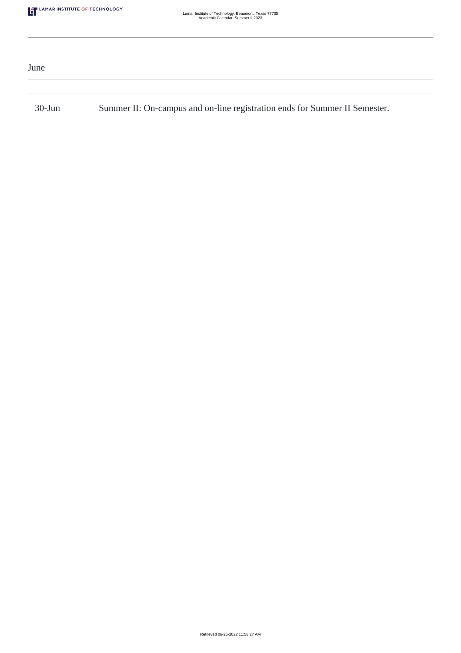| June      |                                                                            |
|-----------|----------------------------------------------------------------------------|
|           |                                                                            |
| $30$ -Jun | Summer II: On-campus and on-line registration ends for Summer II Semester. |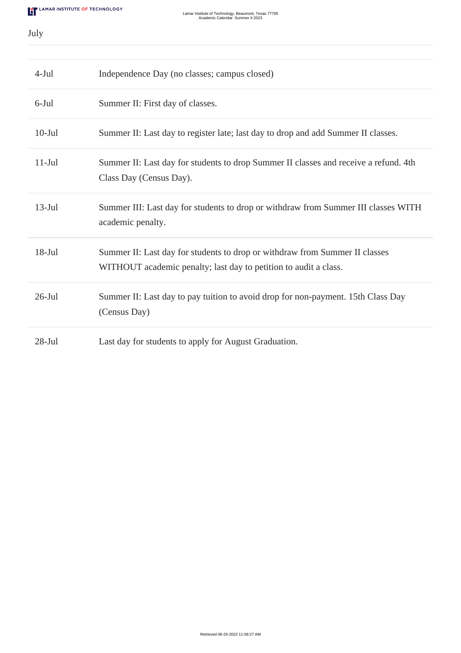July

| $4-Jul$   | Independence Day (no classes; campus closed)                                                                                                    |
|-----------|-------------------------------------------------------------------------------------------------------------------------------------------------|
| $6$ -Jul  | Summer II: First day of classes.                                                                                                                |
| $10-Jul$  | Summer II: Last day to register late; last day to drop and add Summer II classes.                                                               |
| $11-Jul$  | Summer II: Last day for students to drop Summer II classes and receive a refund. 4th<br>Class Day (Census Day).                                 |
| $13$ -Jul | Summer III: Last day for students to drop or withdraw from Summer III classes WITH<br>academic penalty.                                         |
| $18-Jul$  | Summer II: Last day for students to drop or withdraw from Summer II classes<br>WITHOUT academic penalty; last day to petition to audit a class. |
| $26$ -Jul | Summer II: Last day to pay tuition to avoid drop for non-payment. 15th Class Day<br>(Census Day)                                                |
| $28$ -Jul | Last day for students to apply for August Graduation.                                                                                           |